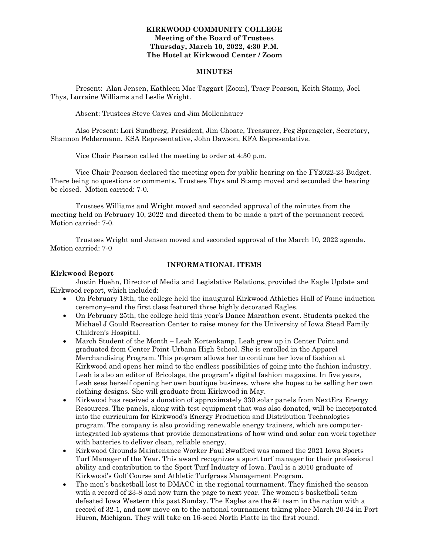#### **KIRKWOOD COMMUNITY COLLEGE Meeting of the Board of Trustees Thursday, March 10, 2022, 4:30 P.M. The Hotel at Kirkwood Center / Zoom**

#### **MINUTES**

Present: Alan Jensen, Kathleen Mac Taggart [Zoom], Tracy Pearson, Keith Stamp, Joel Thys, Lorraine Williams and Leslie Wright.

Absent: Trustees Steve Caves and Jim Mollenhauer

Also Present: Lori Sundberg, President, Jim Choate, Treasurer, Peg Sprengeler, Secretary, Shannon Feldermann, KSA Representative, John Dawson, KFA Representative.

Vice Chair Pearson called the meeting to order at 4:30 p.m.

Vice Chair Pearson declared the meeting open for public hearing on the FY2022-23 Budget. There being no questions or comments, Trustees Thys and Stamp moved and seconded the hearing be closed. Motion carried: 7-0.

Trustees Williams and Wright moved and seconded approval of the minutes from the meeting held on February 10, 2022 and directed them to be made a part of the permanent record. Motion carried: 7-0.

Trustees Wright and Jensen moved and seconded approval of the March 10, 2022 agenda. Motion carried: 7-0

#### **INFORMATIONAL ITEMS**

#### **Kirkwood Report**

Justin Hoehn, Director of Media and Legislative Relations, provided the Eagle Update and Kirkwood report, which included:

- On February 18th, the college held the inaugural Kirkwood Athletics Hall of Fame induction ceremony–and the first class featured three highly decorated Eagles.
- On February 25th, the college held this year's Dance Marathon event. Students packed the Michael J Gould Recreation Center to raise money for the University of Iowa Stead Family Children's Hospital.
- March Student of the Month Leah Kortenkamp. Leah grew up in Center Point and graduated from Center Point-Urbana High School. She is enrolled in the Apparel Merchandising Program. This program allows her to continue her love of fashion at Kirkwood and opens her mind to the endless possibilities of going into the fashion industry. Leah is also an editor of Bricolage, the program's digital fashion magazine. In five years, Leah sees herself opening her own boutique business, where she hopes to be selling her own clothing designs. She will graduate from Kirkwood in May.
- Kirkwood has received a donation of approximately 330 solar panels from NextEra Energy Resources. The panels, along with test equipment that was also donated, will be incorporated into the curriculum for Kirkwood's Energy Production and Distribution Technologies program. The company is also providing renewable energy trainers, which are computerintegrated lab systems that provide demonstrations of how wind and solar can work together with batteries to deliver clean, reliable energy.
- Kirkwood Grounds Maintenance Worker Paul Swafford was named the 2021 Iowa Sports Turf Manager of the Year. This award recognizes a sport turf manager for their professional ability and contribution to the Sport Turf Industry of Iowa. Paul is a 2010 graduate of Kirkwood's Golf Course and Athletic Turfgrass Management Program.
- The men's basketball lost to DMACC in the regional tournament. They finished the season with a record of 23-8 and now turn the page to next year. The women's basketball team defeated Iowa Western this past Sunday. The Eagles are the #1 team in the nation with a record of 32-1, and now move on to the national tournament taking place March 20-24 in Port Huron, Michigan. They will take on 16-seed North Platte in the first round.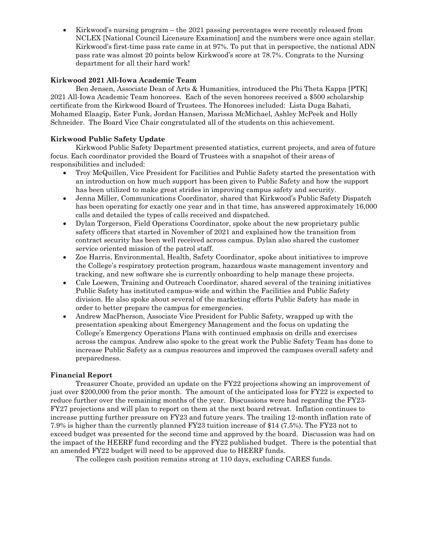• Kirkwood's nursing program – the 2021 passing percentages were recently released from NCLEX [National Council Licensure Examination] and the numbers were once again stellar. Kirkwood's first-time pass rate came in at 97%. To put that in perspective, the national ADN pass rate was almost 20 points below Kirkwood's score at 78.7%. Congrats to the Nursing department for all their hard work!

#### **Kirkwood 2021 All-Iowa Academic Team**

Ben Jensen, Associate Dean of Arts & Humanities, introduced the Phi Theta Kappa [PTK] 2021 All-Iowa Academic Team honorees. Each of the seven honorees received a \$500 scholarship certificate from the Kirkwood Board of Trustees. The Honorees included: Lista Duga Bahati, Mohamed Elaagip, Ester Funk, Jordan Hansen, Marissa McMichael, Ashley McPeek and Holly Schneider. The Board Vice Chair congratulated all of the students on this achievement.

#### **Kirkwood Public Safety Update**

Kirkwood Public Safety Department presented statistics, current projects, and area of future focus. Each coordinator provided the Board of Trustees with a snapshot of their areas of responsibilities and included:

- Troy McQuillen, Vice President for Facilities and Public Safety started the presentation with an introduction on how much support has been given to Public Safety and how the support has been utilized to make great strides in improving campus safety and security.
- Jenna Miller, Communications Coordinator, shared that Kirkwood's Public Safety Dispatch has been operating for exactly one year and in that time, has answered approximately 16,000 calls and detailed the types of calls received and dispatched.
- Dylan Torgerson, Field Operations Coordinator, spoke about the new proprietary public safety officers that started in November of 2021 and explained how the transition from contract security has been well received across campus. Dylan also shared the customer service oriented mission of the patrol staff.
- Zoe Harris, Environmental, Health, Safety Coordinator, spoke about initiatives to improve the College's respiratory protection program, hazardous waste management inventory and tracking, and new software she is currently onboarding to help manage these projects.
- Cale Loewen, Training and Outreach Coordinator, shared several of the training initiatives Public Safety has instituted campus-wide and within the Facilities and Public Safety division. He also spoke about several of the marketing efforts Public Safety has made in order to better prepare the campus for emergencies.
- Andrew MacPherson, Associate Vice President for Public Safety, wrapped up with the presentation speaking about Emergency Management and the focus on updating the College's Emergency Operations Plans with continued emphasis on drills and exercises across the campus. Andrew also spoke to the great work the Public Safety Team has done to increase Public Safety as a campus resources and improved the campuses overall safety and preparedness.

#### **Financial Report**

Treasurer Choate, provided an update on the FY22 projections showing an improvement of just over \$200,000 from the prior month. The amount of the anticipated loss for FY22 is expected to reduce further over the remaining months of the year. Discussions were had regarding the FY23- FY27 projections and will plan to report on them at the next board retreat. Inflation continues to increase putting further pressure on FY23 and future years. The trailing 12-month inflation rate of 7.9% is higher than the currently planned FY23 tuition increase of \$14 (7.5%). The FY23 not to exceed budget was presented for the second time and approved by the board. Discussion was had on the impact of the HEERF fund recording and the FY22 published budget. There is the potential that an amended FY22 budget will need to be approved due to HEERF funds.

The colleges cash position remains strong at 110 days, excluding CARES funds.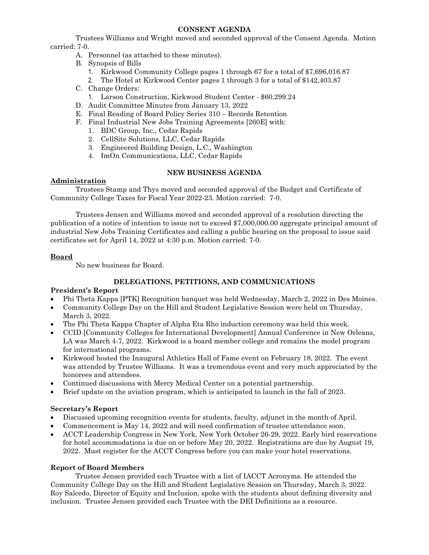#### **CONSENT AGENDA**

Trustees Williams and Wright moved and seconded approval of the Consent Agenda. Motion carried: 7-0.

- A. Personnel (as attached to these minutes).
- B. Synopsis of Bills
	- 1. Kirkwood Community College pages 1 through 67 for a total of \$7,696,016.87
	- 2. The Hotel at Kirkwood Center pages 1 through 3 for a total of \$142,403.87
- C. Change Orders:
	- 1. Larson Construction, Kirkwood Student Center \$60,299.24
- D. Audit Committee Minutes from January 13, 2022
- E. Final Reading of Board Policy Series 310 Records Retention
- F. Final Industrial New Jobs Training Agreements [260E] with:
	- 1. BDC Group, Inc., Cedar Rapids
	- 2. CellSite Solutions, LLC, Cedar Rapids
	- 3. Engineered Building Design, L.C., Washington
	- 4. ImOn Communications, LLC, Cedar Rapids

# **NEW BUSINESS AGENDA**

# **Administration**

Trustees Stamp and Thys moved and seconded approval of the Budget and Certificate of Community College Taxes for Fiscal Year 2022-23. Motion carried: 7-0.

Trustees Jensen and Williams moved and seconded approval of a resolution directing the publication of a notice of intention to issue not to exceed \$7,000,000.00 aggregate principal amount of industrial New Jobs Training Certificates and calling a public hearing on the proposal to issue said certificates set for April 14, 2022 at 4:30 p.m. Motion carried: 7-0.

## **Board**

No new business for Board.

# **DELEGATIONS, PETITIONS, AND COMMUNICATIONS**

## **President's Report**

- Phi Theta Kappa [PTK] Recognition banquet was held Wednesday, March 2, 2022 in Des Moines.
- Community College Day on the Hill and Student Legislative Session were held on Thursday, March 3, 2022.
- The Phi Theta Kappa Chapter of Alpha Eta Rho induction ceremony was held this week.
- CCID [Community Colleges for International Development] Annual Conference in New Orleans, LA was March 4-7, 2022. Kirkwood is a board member college and remains the model program for international programs.
- Kirkwood hosted the Inaugural Athletics Hall of Fame event on February 18, 2022. The event was attended by Trustee Williams. It was a tremendous event and very much appreciated by the honorees and attendees.
- Continued discussions with Mercy Medical Center on a potential partnership.
- Brief update on the aviation program, which is anticipated to launch in the fall of 2023.

## **Secretary's Report**

- Discussed upcoming recognition events for students, faculty, adjunct in the month of April.
- Commencement is May 14, 2022 and will need confirmation of trustee attendance soon.
- ACCT Leadership Congress in New York, New York October 26-29, 2022. Early bird reservations for hotel accommodations is due on or before May 20, 2022. Registrations are due by August 19, 2022. Must register for the ACCT Congress before you can make your hotel reservations.

## **Report of Board Members**

Trustee Jensen provided each Trustee with a list of IACCT Acronyms. He attended the Community College Day on the Hill and Student Legislative Session on Thursday, March 3, 2022. Roy Salcedo, Director of Equity and Inclusion, spoke with the students about defining diversity and inclusion. Trustee Jensen provided each Trustee with the DEI Definitions as a resource.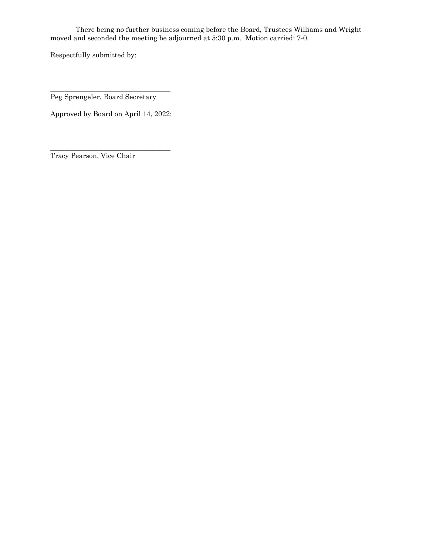There being no further business coming before the Board, Trustees Williams and Wright moved and seconded the meeting be adjourned at 5:30 p.m. Motion carried: 7-0.

Respectfully submitted by:

\_\_\_\_\_\_\_\_\_\_\_\_\_\_\_\_\_\_\_\_\_\_\_\_\_\_\_\_\_\_\_\_\_\_ Peg Sprengeler, Board Secretary

Approved by Board on April 14, 2022:

\_\_\_\_\_\_\_\_\_\_\_\_\_\_\_\_\_\_\_\_\_\_\_\_\_\_\_\_\_\_\_\_\_\_ Tracy Pearson, Vice Chair